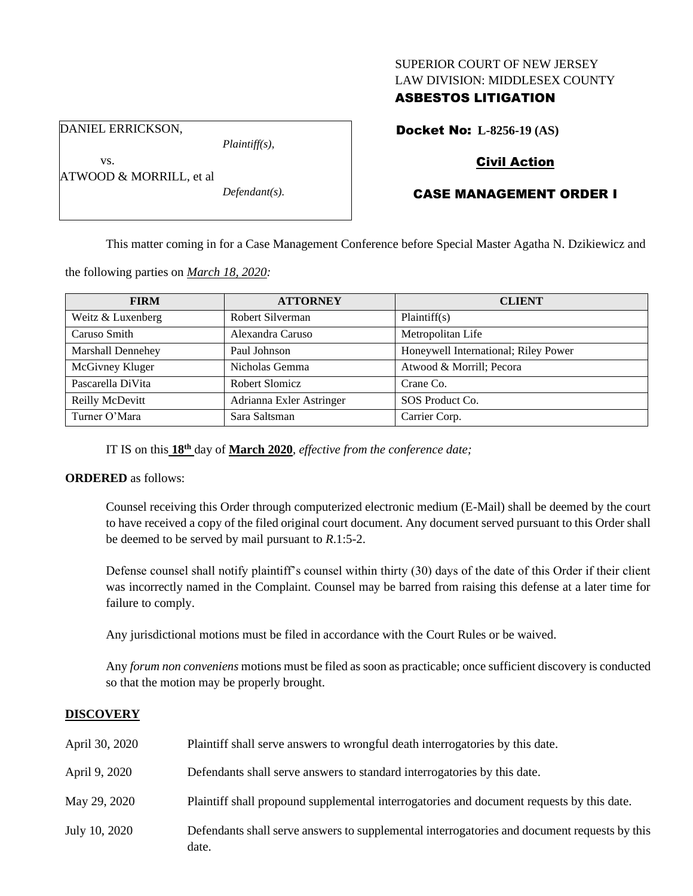### SUPERIOR COURT OF NEW JERSEY LAW DIVISION: MIDDLESEX COUNTY

## ASBESTOS LITIGATION

DANIEL ERRICKSON,

ATWOOD & MORRILL, et al

vs.

*Plaintiff(s),*

*Defendant(s).*

Docket No: **L-8256-19 (AS)**

# Civil Action

# CASE MANAGEMENT ORDER I

This matter coming in for a Case Management Conference before Special Master Agatha N. Dzikiewicz and

the following parties on *March 18, 2020:*

| <b>FIRM</b>       | <b>ATTORNEY</b>          | <b>CLIENT</b>                        |
|-------------------|--------------------------|--------------------------------------|
| Weitz & Luxenberg | Robert Silverman         | Plaintiff(s)                         |
| Caruso Smith      | Alexandra Caruso         | Metropolitan Life                    |
| Marshall Dennehey | Paul Johnson             | Honeywell International; Riley Power |
| McGivney Kluger   | Nicholas Gemma           | Atwood & Morrill; Pecora             |
| Pascarella DiVita | Robert Slomicz           | Crane Co.                            |
| Reilly McDevitt   | Adrianna Exler Astringer | SOS Product Co.                      |
| Turner O'Mara     | Sara Saltsman            | Carrier Corp.                        |

IT IS on this **18th** day of **March 2020**, *effective from the conference date;*

## **ORDERED** as follows:

Counsel receiving this Order through computerized electronic medium (E-Mail) shall be deemed by the court to have received a copy of the filed original court document. Any document served pursuant to this Order shall be deemed to be served by mail pursuant to *R*.1:5-2.

Defense counsel shall notify plaintiff's counsel within thirty (30) days of the date of this Order if their client was incorrectly named in the Complaint. Counsel may be barred from raising this defense at a later time for failure to comply.

Any jurisdictional motions must be filed in accordance with the Court Rules or be waived.

Any *forum non conveniens* motions must be filed as soon as practicable; once sufficient discovery is conducted so that the motion may be properly brought.

## **DISCOVERY**

| April 30, 2020 | Plaintiff shall serve answers to wrongful death interrogatories by this date.                         |
|----------------|-------------------------------------------------------------------------------------------------------|
| April 9, 2020  | Defendants shall serve answers to standard interrogatories by this date.                              |
| May 29, 2020   | Plaintiff shall propound supplemental interrogatories and document requests by this date.             |
| July 10, 2020  | Defendants shall serve answers to supplemental interrogatories and document requests by this<br>date. |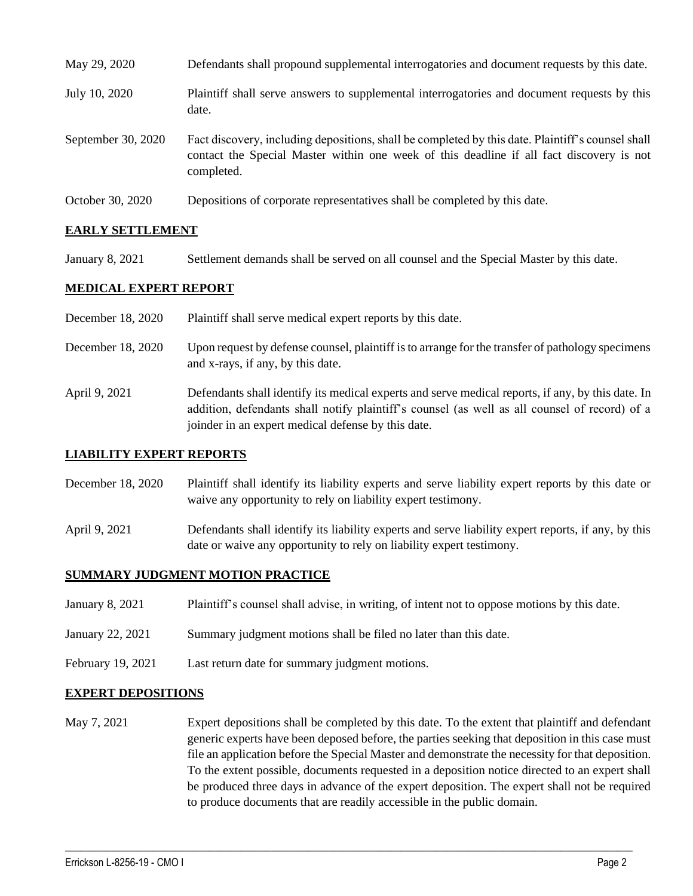| May 29, 2020       | Defendants shall propound supplemental interrogatories and document requests by this date.                                                                                                                  |
|--------------------|-------------------------------------------------------------------------------------------------------------------------------------------------------------------------------------------------------------|
| July 10, 2020      | Plaintiff shall serve answers to supplemental interrogatories and document requests by this<br>date.                                                                                                        |
| September 30, 2020 | Fact discovery, including depositions, shall be completed by this date. Plaintiff's counsel shall<br>contact the Special Master within one week of this deadline if all fact discovery is not<br>completed. |
| October 30, 2020   | Depositions of corporate representatives shall be completed by this date.                                                                                                                                   |

## **EARLY SETTLEMENT**

January 8, 2021 Settlement demands shall be served on all counsel and the Special Master by this date.

#### **MEDICAL EXPERT REPORT**

- December 18, 2020 Plaintiff shall serve medical expert reports by this date.
- December 18, 2020 Upon request by defense counsel, plaintiff is to arrange for the transfer of pathology specimens and x-rays, if any, by this date.
- April 9, 2021 Defendants shall identify its medical experts and serve medical reports, if any, by this date. In addition, defendants shall notify plaintiff's counsel (as well as all counsel of record) of a joinder in an expert medical defense by this date.

#### **LIABILITY EXPERT REPORTS**

- December 18, 2020 Plaintiff shall identify its liability experts and serve liability expert reports by this date or waive any opportunity to rely on liability expert testimony.
- April 9, 2021 Defendants shall identify its liability experts and serve liability expert reports, if any, by this date or waive any opportunity to rely on liability expert testimony.

#### **SUMMARY JUDGMENT MOTION PRACTICE**

- January 8, 2021 Plaintiff's counsel shall advise, in writing, of intent not to oppose motions by this date.
- January 22, 2021 Summary judgment motions shall be filed no later than this date.
- February 19, 2021 Last return date for summary judgment motions.

#### **EXPERT DEPOSITIONS**

May 7, 2021 Expert depositions shall be completed by this date. To the extent that plaintiff and defendant generic experts have been deposed before, the parties seeking that deposition in this case must file an application before the Special Master and demonstrate the necessity for that deposition. To the extent possible, documents requested in a deposition notice directed to an expert shall be produced three days in advance of the expert deposition. The expert shall not be required to produce documents that are readily accessible in the public domain.

 $\_$  , and the set of the set of the set of the set of the set of the set of the set of the set of the set of the set of the set of the set of the set of the set of the set of the set of the set of the set of the set of th